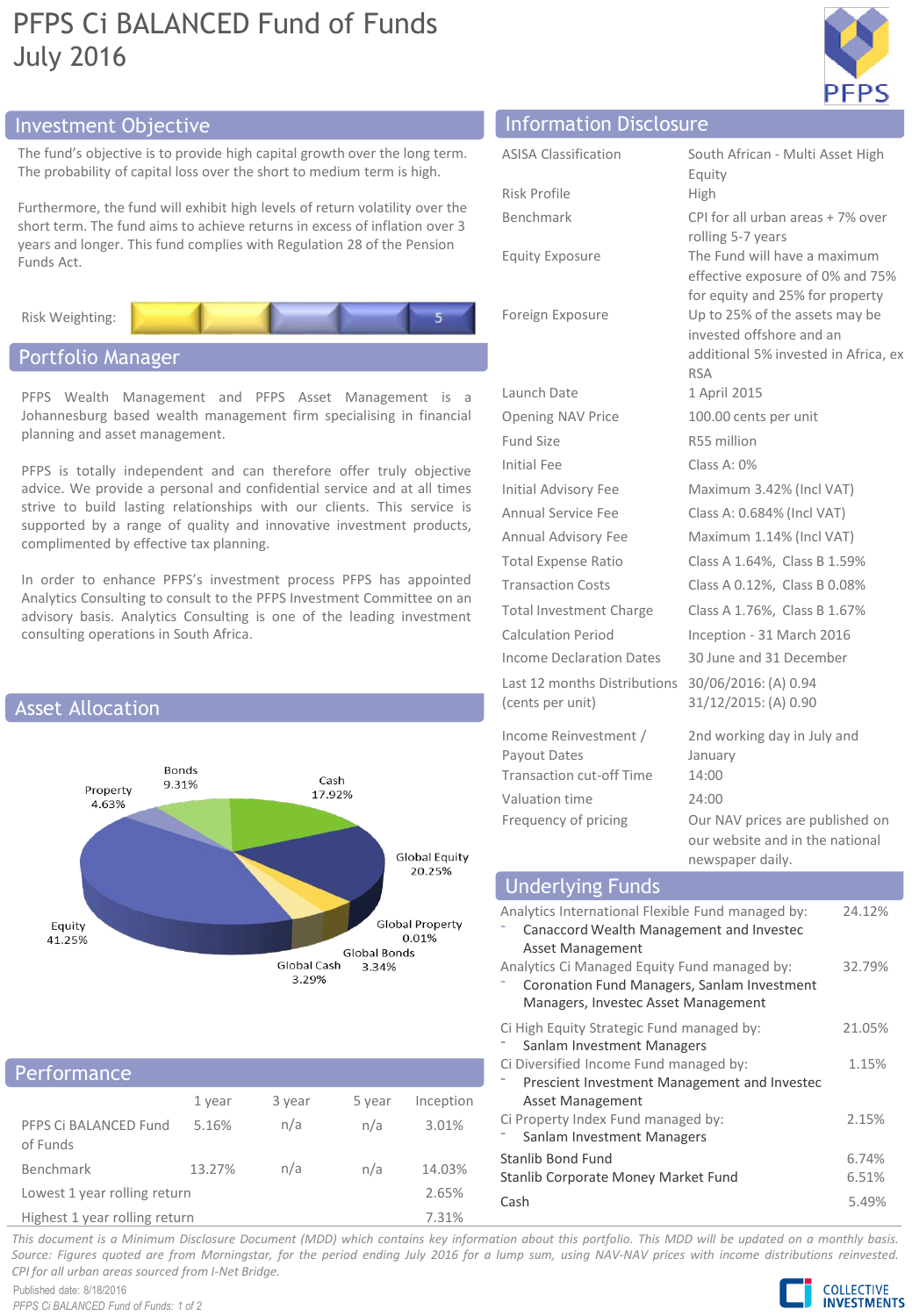# PFPS Ci BALANCED Fund of Funds July 2016



The fund's objective is to provide high capital growth over the long term. The probability of capital loss over the short to medium term is high.

Furthermore, the fund will exhibit high levels of return volatility over the short term. The fund aims to achieve returns in excess of inflation over 3 years and longer. This fund complies with Regulation 28 of the Pension Funds Act.



# Portfolio Manager

PFPS Wealth Management and PFPS Asset Management is a Johannesburg based wealth management firm specialising in financial planning and asset management.

PFPS is totally independent and can therefore offer truly objective advice. We provide a personal and confidential service and at all times strive to build lasting relationships with our clients. This service is supported by a range of quality and innovative investment products, complimented by effective tax planning.

In order to enhance PFPS's investment process PFPS has appointed Analytics Consulting to consult to the PFPS Investment Committee on an advisory basis. Analytics Consulting is one of the leading investment consulting operations in South Africa.



## 1 year 3 year 5 year Inception PFPS Ci BALANCED Fund of Funds 5.16% n/a n/a 3.01% Benchmark 13.27% n/a n/a 14.03% Lowest 1 year rolling return 2.65% Performance

Highest 1 year rolling return 7.31%

# Investment Objective Information Disclosure

| <b>ASISA Classification</b>                                              | South African - Multi Asset High<br>Equity                                                                       |
|--------------------------------------------------------------------------|------------------------------------------------------------------------------------------------------------------|
| <b>Risk Profile</b>                                                      | High                                                                                                             |
| Benchmark                                                                | CPI for all urban areas + 7% over<br>rolling 5-7 years                                                           |
| <b>Equity Exposure</b>                                                   | The Fund will have a maximum<br>effective exposure of 0% and 75%<br>for equity and 25% for property              |
| Foreign Exposure                                                         | Up to 25% of the assets may be<br>invested offshore and an<br>additional 5% invested in Africa, ex<br><b>RSA</b> |
| Launch Date                                                              | 1 April 2015                                                                                                     |
| <b>Opening NAV Price</b>                                                 | 100.00 cents per unit                                                                                            |
| Fund Size                                                                | R55 million                                                                                                      |
| Initial Fee                                                              | Class A: $0\%$                                                                                                   |
| <b>Initial Advisory Fee</b>                                              | Maximum 3.42% (Incl VAT)                                                                                         |
| <b>Annual Service Fee</b>                                                | Class A: 0.684% (Incl VAT)                                                                                       |
| Annual Advisory Fee                                                      | Maximum 1.14% (Incl VAT)                                                                                         |
| <b>Total Expense Ratio</b>                                               | Class A 1.64%, Class B 1.59%                                                                                     |
| <b>Transaction Costs</b>                                                 | Class A 0.12%, Class B 0.08%                                                                                     |
| <b>Total Investment Charge</b>                                           | Class A 1.76%, Class B 1.67%                                                                                     |
| <b>Calculation Period</b>                                                | Inception - 31 March 2016                                                                                        |
| <b>Income Declaration Dates</b>                                          | 30 June and 31 December                                                                                          |
| Last 12 months Distributions<br>(cents per unit)                         | 30/06/2016: (A) 0.94<br>31/12/2015: (A) 0.90                                                                     |
| Income Reinvestment /<br>Payout Dates<br><b>Transaction cut-off Time</b> | 2nd working day in July and<br>January<br>14:00                                                                  |
| Valuation time                                                           | 24:00                                                                                                            |
| Frequency of pricing                                                     | Our NAV prices are published on<br>our website and in the national                                               |

# Underlying Funds

| Analytics International Flexible Fund managed by:<br>Canaccord Wealth Management and Investec<br>Asset Management                        | 24.12%         |
|------------------------------------------------------------------------------------------------------------------------------------------|----------------|
| Analytics Ci Managed Equity Fund managed by:<br>Coronation Fund Managers, Sanlam Investment<br>Managers, Investec Asset Management       | 32.79%         |
| Ci High Equity Strategic Fund managed by:                                                                                                | 21.05%         |
| Sanlam Investment Managers<br>Ci Diversified Income Fund managed by:<br>Prescient Investment Management and Investec<br>Asset Management | 1.15%          |
| Ci Property Index Fund managed by:<br>Sanlam Investment Managers                                                                         | 2.15%          |
| Stanlib Bond Fund<br>Stanlib Corporate Money Market Fund                                                                                 | 6.74%<br>6.51% |
| Cash                                                                                                                                     | 5.49%          |

newspaper daily.

This document is a Minimum Disclosure Document (MDD) which contains key information about this portfolio. This MDD will be updated on a monthly basis. Source: Figures quoted are from Morningstar, for the period ending July 2016 for a lump sum, using NAV-NAV prices with income distributions reinvested. *CPI for all urban areas sourced from I-Net Bridge.*

Published date: 8/18/2016 *PFPS Ci BALANCED Fund of Funds: 1 of 2*